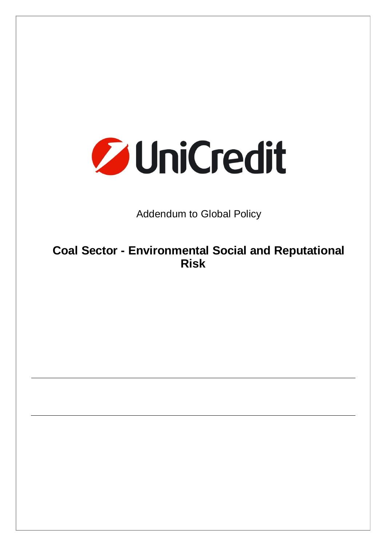

Addendum to Global Policy

**Coal Sector - Environmental Social and Reputational Risk**